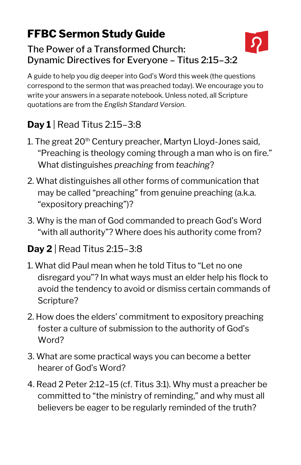## **FFBC Sermon Study Guide**

#### The Power of a Transformed Church: Dynamic Directives for Everyone – Titus 2:15–3:2

A guide to help you dig deeper into God's Word this week (the questions correspond to the sermon that was preached today). We encourage you to write your answers in a separate notebook. Unless noted, all Scripture quotations are from the *English Standard Version*.

# **Day 1** | Read Titus 2:15–3:8

- 1. The great  $20<sup>th</sup>$  Century preacher, Martyn Lloyd-Jones said, "Preaching is theology coming through a man who is on fire." What distinguishes *preaching* from *teaching*?
- 2. What distinguishes all other forms of communication that may be called "preaching" from genuine preaching (a.k.a. "expository preaching")?
- 3. Why is the man of God commanded to preach God's Word "with all authority"? Where does his authority come from?

## **Day 2** | Read Titus 2:15–3:8

- 1. What did Paul mean when he told Titus to "Let no one disregard you"? In what ways must an elder help his flock to avoid the tendency to avoid or dismiss certain commands of Scripture?
- 2. How does the elders' commitment to expository preaching foster a culture of submission to the authority of God's Word?
- 3. What are some practical ways you can become a better hearer of God's Word?
- 4. Read 2 Peter 2:12–15 (cf. Titus 3:1). Why must a preacher be committed to "the ministry of reminding," and why must all believers be eager to be regularly reminded of the truth?